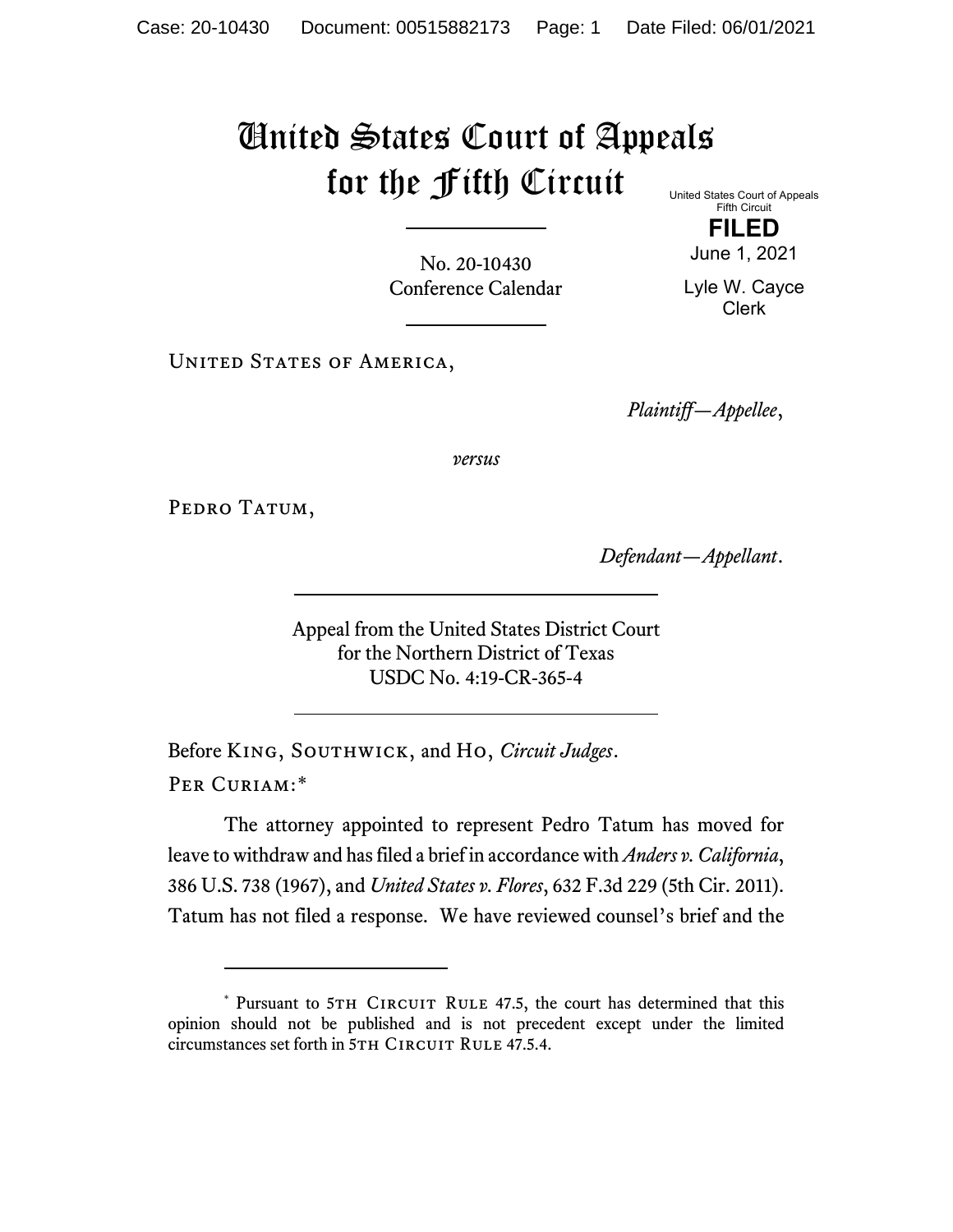## United States Court of Appeals for the Fifth Circuit United States Court of Appeals

Fifth Circuit **FILED**

No. 20-10430 Conference Calendar June 1, 2021

Lyle W. Cayce Clerk

UNITED STATES OF AMERICA,

*Plaintiff—Appellee*,

*versus*

PEDRO TATUM,

*Defendant—Appellant*.

Appeal from the United States District Court for the Northern District of Texas USDC No. 4:19-CR-365-4

Before King, Southwick, and Ho, *Circuit Judges*. Per Curiam:[\\*](#page-0-0)

The attorney appointed to represent Pedro Tatum has moved for leave to withdraw and has filed a brief in accordance with *Anders v. California*, 386 U.S. 738 (1967), and *United States v. Flores*, 632 F.3d 229 (5th Cir. 2011). Tatum has not filed a response. We have reviewed counsel's brief and the

<span id="page-0-0"></span><sup>\*</sup> Pursuant to 5TH CIRCUIT RULE 47.5, the court has determined that this opinion should not be published and is not precedent except under the limited circumstances set forth in 5TH CIRCUIT RULE 47.5.4.